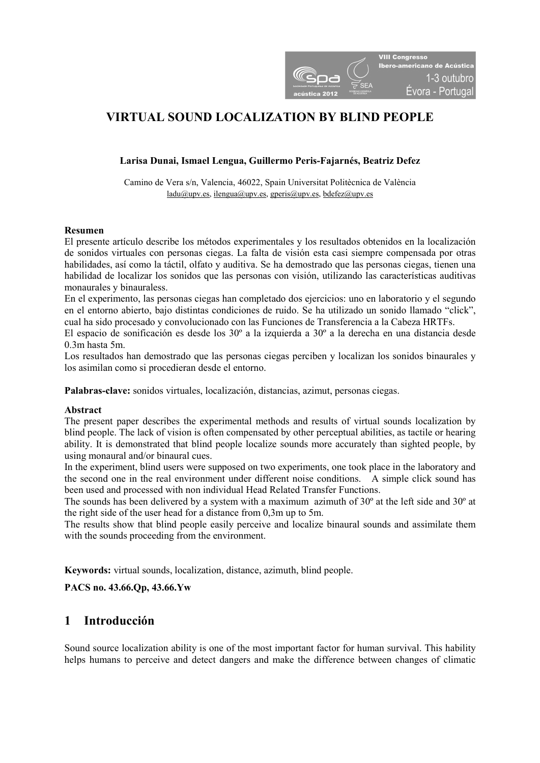

# **VIRTUAL SOUND LOCALIZATION BY BLIND PEOPLE**

### **Larisa Dunai, Ismael Lengua, Guillermo Peris-Fajarnés, Beatriz Defez**

Camino de Vera s/n, Valencia, 46022, Spain Universitat Politècnica de València  $lada@upv.es, ilengua@upv.es, operis@upv.es, bdefez@upv.es$ 

#### **Resumen**

El presente artículo describe los métodos experimentales y los resultados obtenidos en la localización de sonidos virtuales con personas ciegas. La falta de visión esta casi siempre compensada por otras habilidades, así como la táctil, olfato y auditiva. Se ha demostrado que las personas ciegas, tienen una habilidad de localizar los sonidos que las personas con visión, utilizando las características auditivas monaurales y binauraless.

En el experimento, las personas ciegas han completado dos ejercicios: uno en laboratorio y el segundo en el entorno abierto, bajo distintas condiciones de ruido. Se ha utilizado un sonido llamado "click", cual ha sido procesado y convolucionado con las Funciones de Transferencia a la Cabeza HRTFs.

El espacio de sonificación es desde los 30º a la izquierda a 30º a la derecha en una distancia desde 0.3m hasta 5m.

Los resultados han demostrado que las personas ciegas perciben y localizan los sonidos binaurales y los asimilan como si procedieran desde el entorno.

**Palabras-clave:** sonidos virtuales, localización, distancias, azimut, personas ciegas.

#### **Abstract**

The present paper describes the experimental methods and results of virtual sounds localization by blind people. The lack of vision is often compensated by other perceptual abilities, as tactile or hearing ability. It is demonstrated that blind people localize sounds more accurately than sighted people, by using monaural and/or binaural cues.

In the experiment, blind users were supposed on two experiments, one took place in the laboratory and the second one in the real environment under different noise conditions. A simple click sound has been used and processed with non individual Head Related Transfer Functions.

The sounds has been delivered by a system with a maximum azimuth of  $30^{\circ}$  at the left side and  $30^{\circ}$  at the right side of the user head for a distance from 0,3m up to 5m.

The results show that blind people easily perceive and localize binaural sounds and assimilate them with the sounds proceeding from the environment.

**Keywords:** virtual sounds, localization, distance, azimuth, blind people.

**PACS no. 43.66.Qp, 43.66.Yw** 

## **1 Introducción**

Sound source localization ability is one of the most important factor for human survival. This hability helps humans to perceive and detect dangers and make the difference between changes of climatic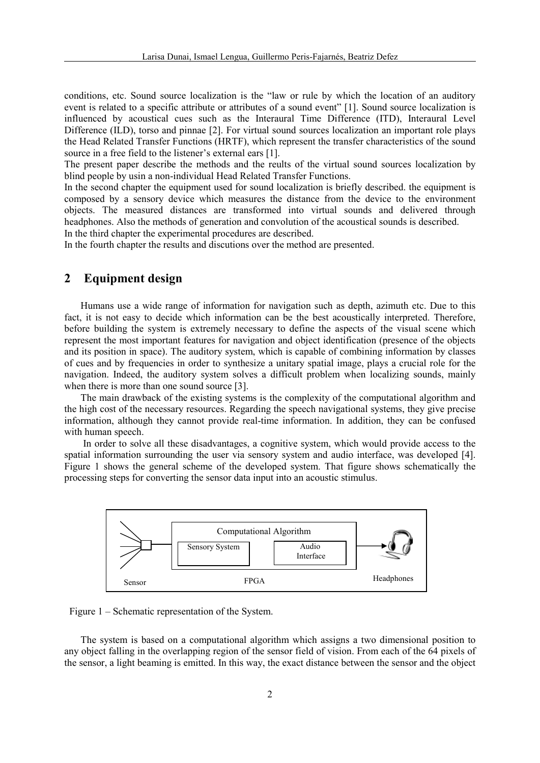conditions, etc. Sound source localization is the "law or rule by which the location of an auditory event is related to a specific attribute or attributes of a sound event" [1]. Sound source localization is influenced by acoustical cues such as the Interaural Time Difference (ITD), Interaural Level Difference (ILD), torso and pinnae [2]. For virtual sound sources localization an important role plays the Head Related Transfer Functions (HRTF), which represent the transfer characteristics of the sound source in a free field to the listener's external ears [1].

The present paper describe the methods and the reults of the virtual sound sources localization by blind people by usin a non-individual Head Related Transfer Functions.

In the second chapter the equipment used for sound localization is briefly described. the equipment is composed by a sensory device which measures the distance from the device to the environment objects. The measured distances are transformed into virtual sounds and delivered through headphones. Also the methods of generation and convolution of the acoustical sounds is described. In the third chapter the experimental procedures are described.

In the fourth chapter the results and discutions over the method are presented.

### **2 Equipment design**

Humans use a wide range of information for navigation such as depth, azimuth etc. Due to this fact, it is not easy to decide which information can be the best acoustically interpreted. Therefore, before building the system is extremely necessary to define the aspects of the visual scene which represent the most important features for navigation and object identification (presence of the objects and its position in space). The auditory system, which is capable of combining information by classes of cues and by frequencies in order to synthesize a unitary spatial image, plays a crucial role for the navigation. Indeed, the auditory system solves a difficult problem when localizing sounds, mainly when there is more than one sound source [3].

The main drawback of the existing systems is the complexity of the computational algorithm and the high cost of the necessary resources. Regarding the speech navigational systems, they give precise information, although they cannot provide real-time information. In addition, they can be confused with human speech.

 In order to solve all these disadvantages, a cognitive system, which would provide access to the spatial information surrounding the user via sensory system and audio interface, was developed [4]. Figure 1 shows the general scheme of the developed system. That figure shows schematically the processing steps for converting the sensor data input into an acoustic stimulus.



Figure 1 – Schematic representation of the System.

The system is based on a computational algorithm which assigns a two dimensional position to any object falling in the overlapping region of the sensor field of vision. From each of the 64 pixels of the sensor, a light beaming is emitted. In this way, the exact distance between the sensor and the object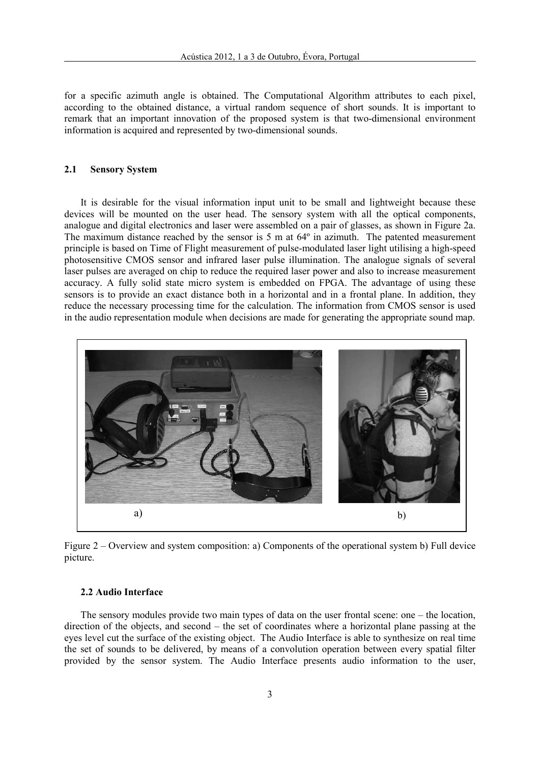for a specific azimuth angle is obtained. The Computational Algorithm attributes to each pixel, according to the obtained distance, a virtual random sequence of short sounds. It is important to remark that an important innovation of the proposed system is that two-dimensional environment information is acquired and represented by two-dimensional sounds.

#### **2.1 Sensory System**

It is desirable for the visual information input unit to be small and lightweight because these devices will be mounted on the user head. The sensory system with all the optical components, analogue and digital electronics and laser were assembled on a pair of glasses, as shown in Figure 2a. The maximum distance reached by the sensor is  $5 \text{ m}$  at  $64^{\circ}$  in azimuth. The patented measurement principle is based on Time of Flight measurement of pulse-modulated laser light utilising a high-speed photosensitive CMOS sensor and infrared laser pulse illumination. The analogue signals of several laser pulses are averaged on chip to reduce the required laser power and also to increase measurement accuracy. A fully solid state micro system is embedded on FPGA. The advantage of using these sensors is to provide an exact distance both in a horizontal and in a frontal plane. In addition, they reduce the necessary processing time for the calculation. The information from CMOS sensor is used in the audio representation module when decisions are made for generating the appropriate sound map.



Figure 2 – Overview and system composition: a) Components of the operational system b) Full device picture.

#### **2.2 Audio Interface**

The sensory modules provide two main types of data on the user frontal scene: one – the location, direction of the objects, and second – the set of coordinates where a horizontal plane passing at the eyes level cut the surface of the existing object. The Audio Interface is able to synthesize on real time the set of sounds to be delivered, by means of a convolution operation between every spatial filter provided by the sensor system. The Audio Interface presents audio information to the user,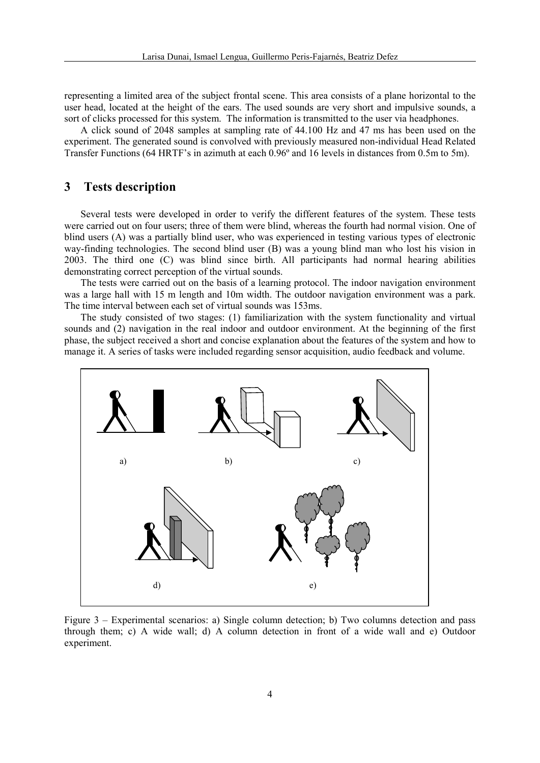representing a limited area of the subject frontal scene. This area consists of a plane horizontal to the user head, located at the height of the ears. The used sounds are very short and impulsive sounds, a sort of clicks processed for this system. The information is transmitted to the user via headphones.

A click sound of 2048 samples at sampling rate of 44.100 Hz and 47 ms has been used on the experiment. The generated sound is convolved with previously measured non-individual Head Related Transfer Functions (64 HRTF's in azimuth at each 0.96º and 16 levels in distances from 0.5m to 5m).

#### **3 Tests description**

Several tests were developed in order to verify the different features of the system. These tests were carried out on four users; three of them were blind, whereas the fourth had normal vision. One of blind users (A) was a partially blind user, who was experienced in testing various types of electronic way-finding technologies. The second blind user (B) was a young blind man who lost his vision in 2003. The third one (C) was blind since birth. All participants had normal hearing abilities demonstrating correct perception of the virtual sounds.

The tests were carried out on the basis of a learning protocol. The indoor navigation environment was a large hall with 15 m length and 10m width. The outdoor navigation environment was a park. The time interval between each set of virtual sounds was 153ms.

The study consisted of two stages: (1) familiarization with the system functionality and virtual sounds and (2) navigation in the real indoor and outdoor environment. At the beginning of the first phase, the subject received a short and concise explanation about the features of the system and how to manage it. A series of tasks were included regarding sensor acquisition, audio feedback and volume.



Figure 3 – Experimental scenarios: a) Single column detection; b) Two columns detection and pass through them; c) A wide wall; d) A column detection in front of a wide wall and e) Outdoor experiment.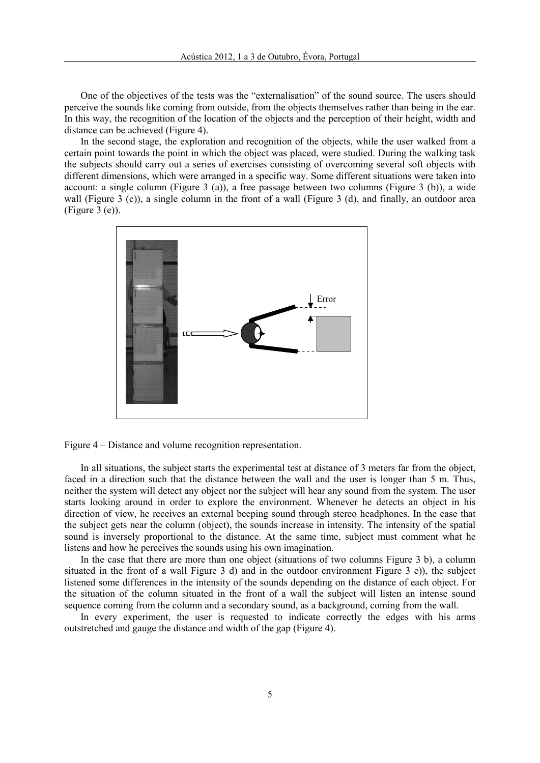One of the objectives of the tests was the "externalisation" of the sound source. The users should perceive the sounds like coming from outside, from the objects themselves rather than being in the ear. In this way, the recognition of the location of the objects and the perception of their height, width and distance can be achieved (Figure 4).

In the second stage, the exploration and recognition of the objects, while the user walked from a certain point towards the point in which the object was placed, were studied. During the walking task the subjects should carry out a series of exercises consisting of overcoming several soft objects with different dimensions, which were arranged in a specific way. Some different situations were taken into account: a single column (Figure 3 (a)), a free passage between two columns (Figure 3 (b)), a wide wall (Figure 3 (c)), a single column in the front of a wall (Figure 3 (d), and finally, an outdoor area (Figure 3 (e)).





In all situations, the subject starts the experimental test at distance of 3 meters far from the object, faced in a direction such that the distance between the wall and the user is longer than 5 m. Thus, neither the system will detect any object nor the subject will hear any sound from the system. The user starts looking around in order to explore the environment. Whenever he detects an object in his direction of view, he receives an external beeping sound through stereo headphones. In the case that the subject gets near the column (object), the sounds increase in intensity. The intensity of the spatial sound is inversely proportional to the distance. At the same time, subject must comment what he listens and how he perceives the sounds using his own imagination.

In the case that there are more than one object (situations of two columns Figure 3 b), a column situated in the front of a wall Figure 3 d) and in the outdoor environment Figure 3 e)), the subject listened some differences in the intensity of the sounds depending on the distance of each object. For the situation of the column situated in the front of a wall the subject will listen an intense sound sequence coming from the column and a secondary sound, as a background, coming from the wall.

In every experiment, the user is requested to indicate correctly the edges with his arms outstretched and gauge the distance and width of the gap (Figure 4).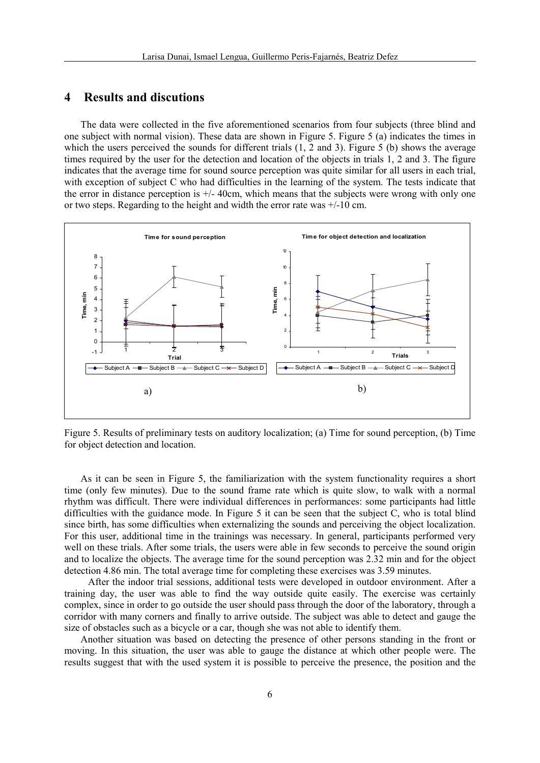### **4 Results and discutions**

The data were collected in the five aforementioned scenarios from four subjects (three blind and one subject with normal vision). These data are shown in Figure 5. Figure 5 (a) indicates the times in which the users perceived the sounds for different trials  $(1, 2 \text{ and } 3)$ . Figure 5 (b) shows the average times required by the user for the detection and location of the objects in trials 1, 2 and 3. The figure indicates that the average time for sound source perception was quite similar for all users in each trial, with exception of subject C who had difficulties in the learning of the system. The tests indicate that the error in distance perception is +/- 40cm, which means that the subjects were wrong with only one or two steps. Regarding to the height and width the error rate was +/-10 cm.



Figure 5. Results of preliminary tests on auditory localization; (a) Time for sound perception, (b) Time for object detection and location.

As it can be seen in Figure 5, the familiarization with the system functionality requires a short time (only few minutes). Due to the sound frame rate which is quite slow, to walk with a normal rhythm was difficult. There were individual differences in performances: some participants had little difficulties with the guidance mode. In Figure 5 it can be seen that the subject C, who is total blind since birth, has some difficulties when externalizing the sounds and perceiving the object localization. For this user, additional time in the trainings was necessary. In general, participants performed very well on these trials. After some trials, the users were able in few seconds to perceive the sound origin and to localize the objects. The average time for the sound perception was 2.32 min and for the object detection 4.86 min. The total average time for completing these exercises was 3.59 minutes.

 After the indoor trial sessions, additional tests were developed in outdoor environment. After a training day, the user was able to find the way outside quite easily. The exercise was certainly complex, since in order to go outside the user should pass through the door of the laboratory, through a corridor with many corners and finally to arrive outside. The subject was able to detect and gauge the size of obstacles such as a bicycle or a car, though she was not able to identify them.

Another situation was based on detecting the presence of other persons standing in the front or moving. In this situation, the user was able to gauge the distance at which other people were. The results suggest that with the used system it is possible to perceive the presence, the position and the